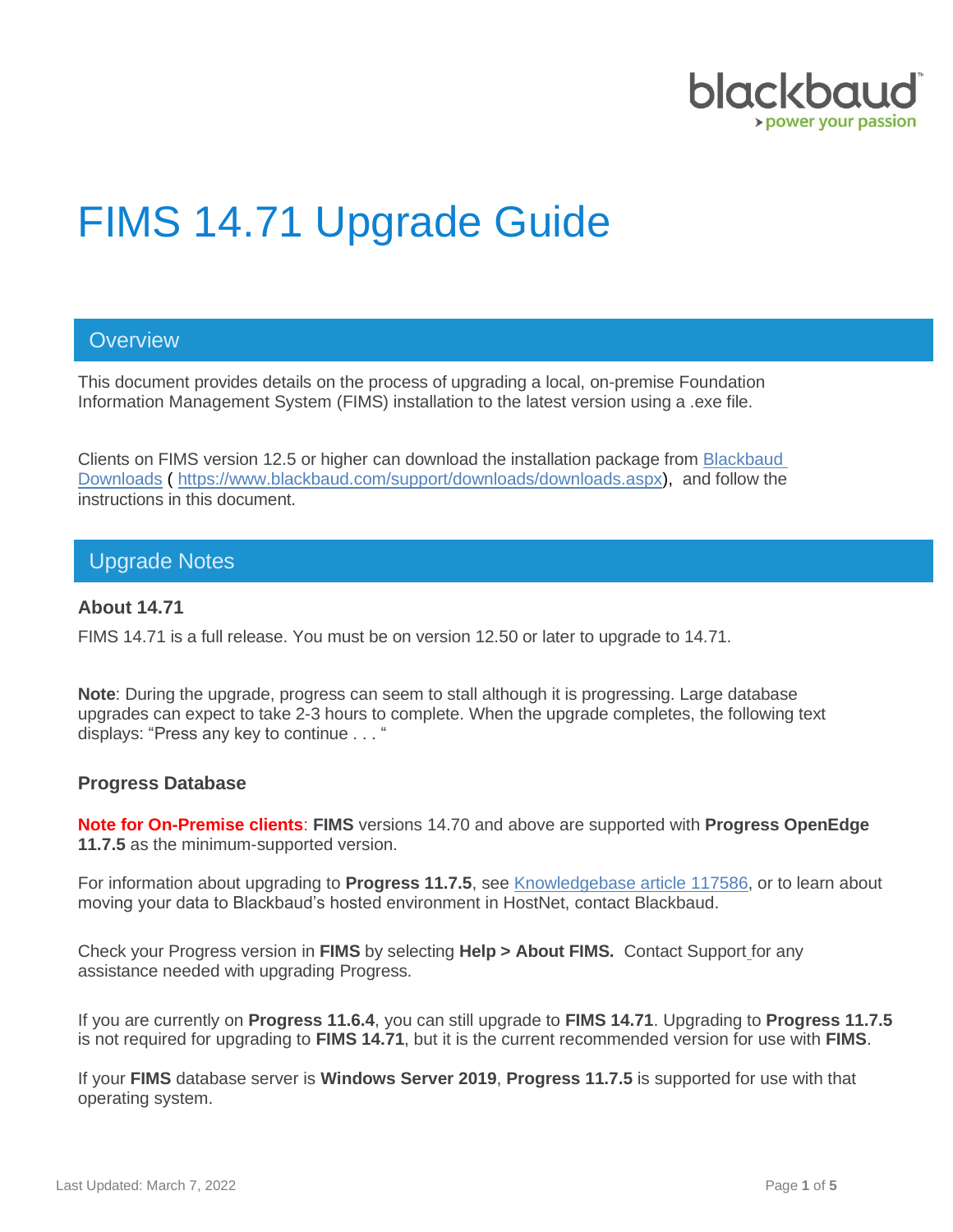

# FIMS 14.71 Upgrade Guide

# **Overview**

This document provides details on the process of upgrading a local, on-premise Foundation Information Management System (FIMS) installation to the latest version using a .exe file.

Clients on FIMS version 12.5 or higher can download the installation package from [Blackbaud](https://www.blackbaud.com/support/downloads/downloads.aspx)  [Downloads](https://www.blackbaud.com/support/downloads/downloads.aspx) ( [https://www.blackbaud.com/support/downloads/downloads.aspx\)](https://www.blackbaud.com/support/downloads/downloads.aspx), and follow the instructions in this document.

### Upgrade Notes

#### **About 14.71**

FIMS 14.71 is a full release. You must be on version 12.50 or later to upgrade to 14.71.

**Note**: During the upgrade, progress can seem to stall although it is progressing. Large database upgrades can expect to take 2-3 hours to complete. When the upgrade completes, the following text displays: "Press any key to continue . . . "

#### **Progress Database**

**Note for On-Premise clients**: **FIMS** versions 14.70 and above are supported with **Progress OpenEdge 11.7.5** as the minimum-supported version.

For information about upgrading to **Progress 11.7.5**, see [Knowledgebase article 117586,](https://kb.blackbaud.com/knowledgebase/articles/Article/117586) or to learn about moving your data to Blackbaud's hosted environment in HostNet, contact Blackbaud.

Check your Progress version in **FIMS** by selecting **Help > About FIMS.** Contact Support for any assistance needed with upgrading Progress.

If you are currently on **Progress 11.6.4**, you can still upgrade to **FIMS 14.71**. Upgrading to **Progress 11.7.5** is not required for upgrading to **FIMS 14.71**, but it is the current recommended version for use with **FIMS**.

If your **FIMS** database server is **Windows Server 2019**, **Progress 11.7.5** is supported for use with that operating system.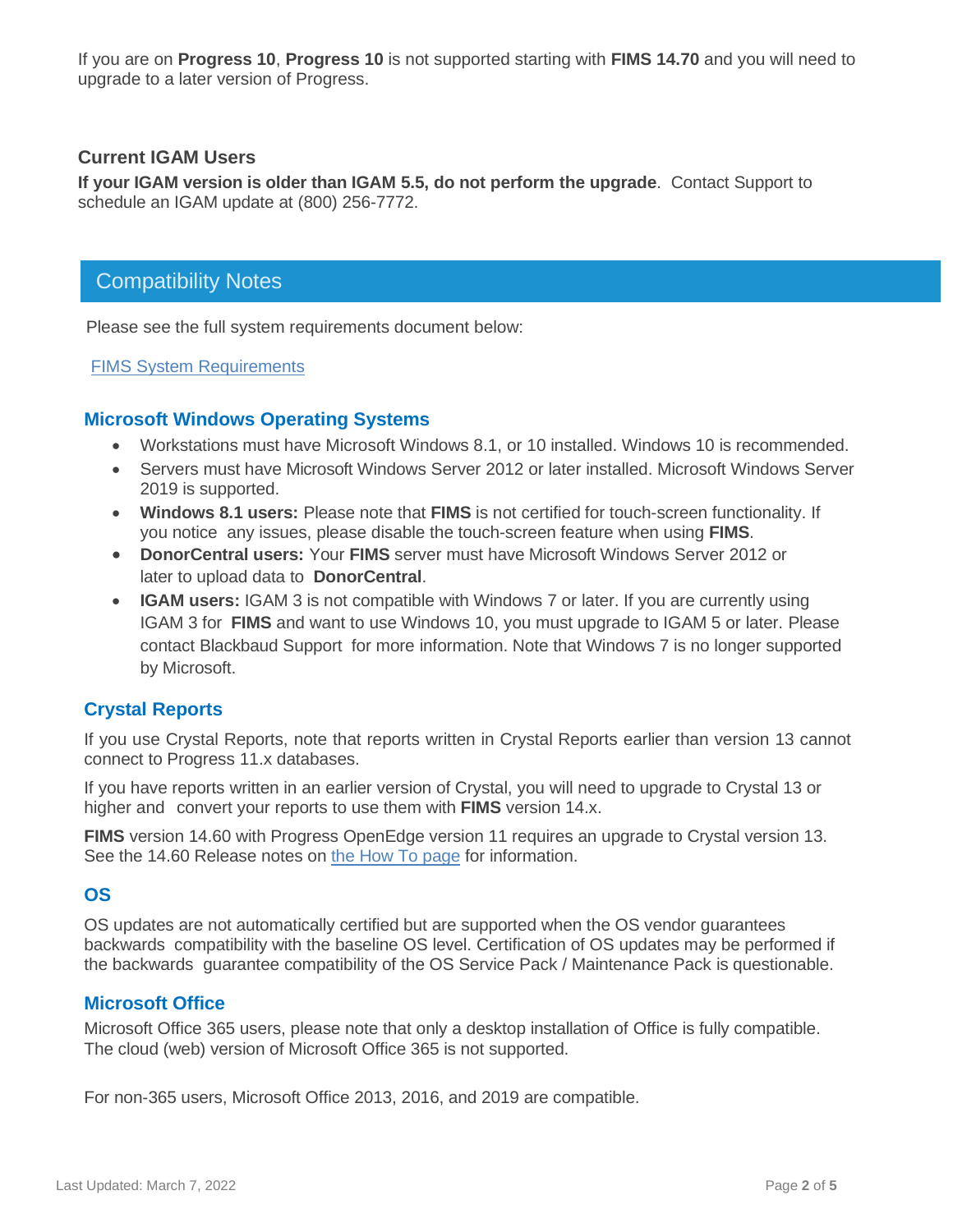If you are on **Progress 10**, **Progress 10** is not supported starting with **FIMS 14.70** and you will need to upgrade to a later version of Progress.

#### **Current IGAM Users**

**If your IGAM version is older than IGAM 5.5, do not perform the upgrade**. Contact Support to schedule an IGAM update at (800) 256-7772.

## Compatibility Notes

Please see the full system requirements document below:

[FIMS System Requirements](https://www.blackbaud.com/training-support/support/system-requirements/fims-system-requirements#compatibility)

#### **Microsoft Windows Operating Systems**

- Workstations must have Microsoft Windows 8.1, or 10 installed. Windows 10 is recommended.
- Servers must have Microsoft Windows Server 2012 or later installed. Microsoft Windows Server 2019 is supported.
- **Windows 8.1 users:** Please note that **FIMS** is not certified for touch-screen functionality. If you notice any issues, please disable the touch-screen feature when using **FIMS**.
- **DonorCentral users:** Your **FIMS** server must have Microsoft Windows Server 2012 or later to upload data to **DonorCentral**.
- **IGAM users:** IGAM 3 is not compatible with Windows 7 or later. If you are currently using IGAM 3 for **FIMS** and want to use Windows 10, you must upgrade to IGAM 5 or later. Please contact Blackbaud Support for more information. Note that Windows 7 is no longer supported by Microsoft.

#### **Crystal Reports**

If you use Crystal Reports, note that reports written in Crystal Reports earlier than version 13 cannot connect to Progress 11.x databases.

If you have reports written in an earlier version of Crystal, you will need to upgrade to Crystal 13 or higher and convert your reports to use them with **FIMS** version 14.x.

**FIMS** version 14.60 with Progress OpenEdge version 11 requires an upgrade to Crystal version 13. See the 14.60 Release notes on [the How To page](https://www.blackbaud.com/training-support/support/howto/fims) for information.

#### **OS**

OS updates are not automatically certified but are supported when the OS vendor guarantees backwards compatibility with the baseline OS level. Certification of OS updates may be performed if the backwards guarantee compatibility of the OS Service Pack / Maintenance Pack is questionable.

#### **Microsoft Office**

Microsoft Office 365 users, please note that only a desktop installation of Office is fully compatible. The cloud (web) version of Microsoft Office 365 is not supported.

For non-365 users, Microsoft Office 2013, 2016, and 2019 are compatible.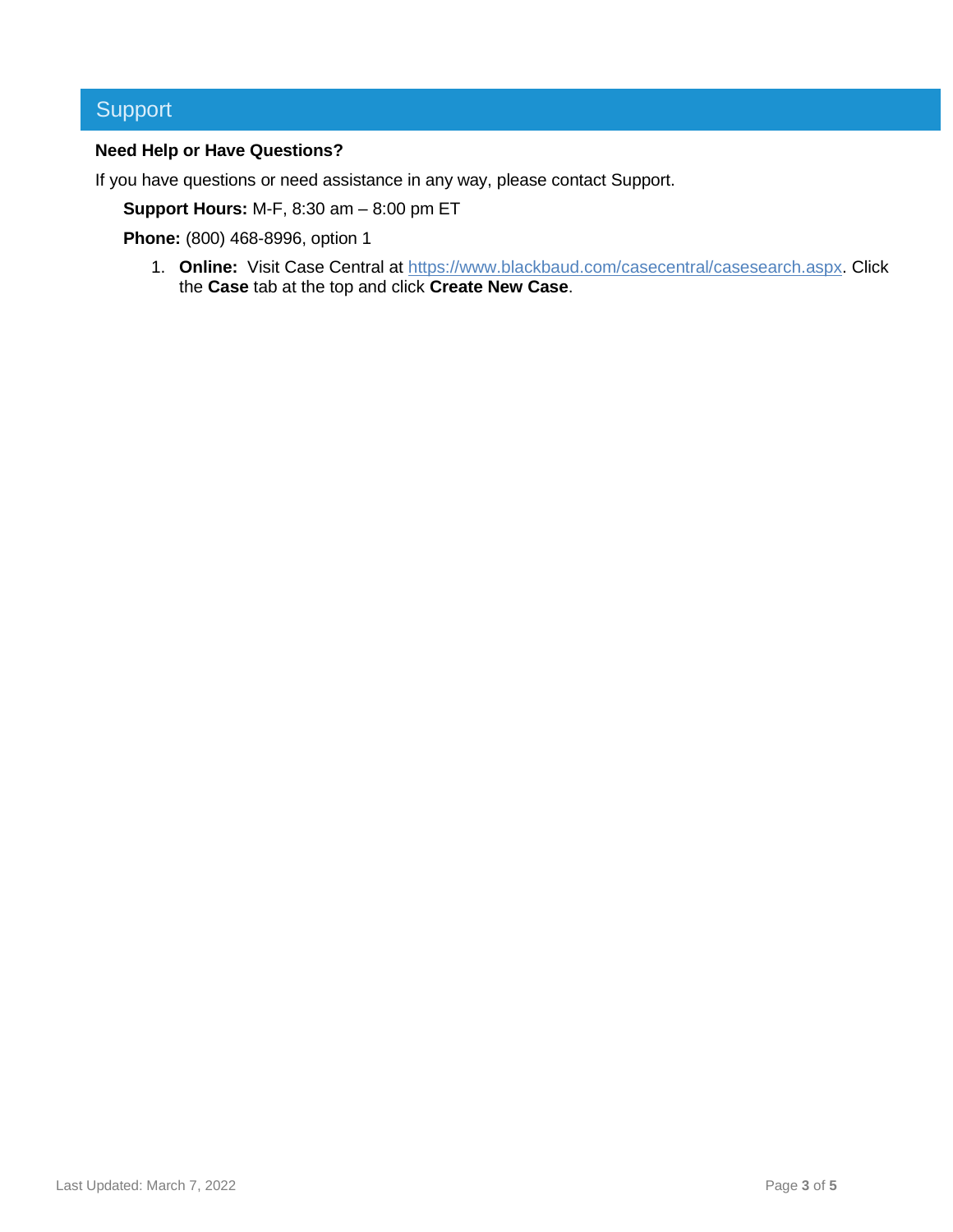# Support

#### **Need Help or Have Questions?**

If you have questions or need assistance in any way, please contact Support.

**Support Hours:** M-F, 8:30 am – 8:00 pm ET

**Phone:** (800) 468-8996, option 1

1. **Online:** Visit Case Central at [https://www.blackbaud.com/casecentral/casesearch.aspx.](https://www.blackbaud.com/casecentral/casesearch.aspx) Click the **Case** tab at the top and click **Create New Case**.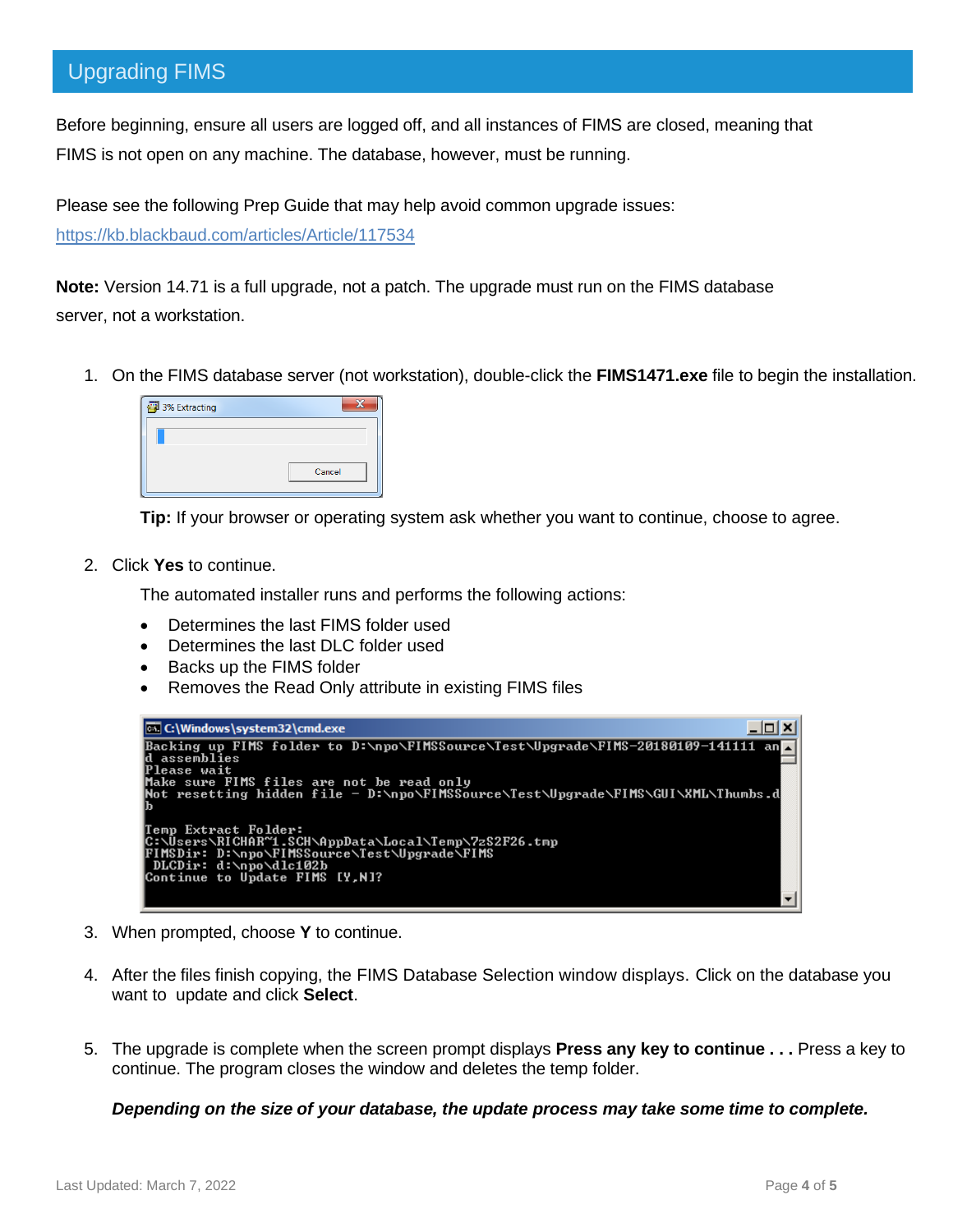# Upgrading FIMS

Before beginning, ensure all users are logged off, and all instances of FIMS are closed, meaning that FIMS is not open on any machine. The database, however, must be running.

Please see the following Prep Guide that may help avoid common upgrade issues:

<https://kb.blackbaud.com/articles/Article/117534>

**Note:** Version 14.71 is a full upgrade, not a patch. The upgrade must run on the FIMS database server, not a workstation.

1. On the FIMS database server (not workstation), double-click the **FIMS1471.exe** file to begin the installation.

| 3% Extracting |        |
|---------------|--------|
|               |        |
|               |        |
|               | Cancel |

**Tip:** If your browser or operating system ask whether you want to continue, choose to agree.

2. Click **Yes** to continue.

The automated installer runs and performs the following actions:

- Determines the last FIMS folder used
- Determines the last DLC folder used
- Backs up the FIMS folder
- Removes the Read Only attribute in existing FIMS files

| <b>C:\Windows\system32\cmd.exe</b>                                                                                             |  |
|--------------------------------------------------------------------------------------------------------------------------------|--|
| Backing up FIMS folder to D:\npo\FIMSSource\Test\Upgrade\FIMS-20180109-141111 an <mark>_</mark><br>ld assemblies               |  |
| lPlease wait                                                                                                                   |  |
| Make sure FIMS files are not be read only<br> Not resetting hidden file - D:\npo\FIMSSource\Test\Upgrade\FIMS\GUI\XML\Thumbs.d |  |
|                                                                                                                                |  |
| Temp Extract Folder:<br> C:\Users\RICHAR~1.SCH\AppData\Local\Temp\7zS2F26.tmp                                                  |  |
| FIMSDir: D:\npo\FIMSSource\Test\Upgrade\FIMS                                                                                   |  |
| DLCDir: d:\npo\dlc102b<br>Continue to Update FIMS [Y,N]?                                                                       |  |
|                                                                                                                                |  |

- 3. When prompted, choose **Y** to continue.
- 4. After the files finish copying, the FIMS Database Selection window displays. Click on the database you want to update and click **Select**.
- 5. The upgrade is complete when the screen prompt displays **Press any key to continue . . .** Press a key to continue. The program closes the window and deletes the temp folder.

*Depending on the size of your database, the update process may take some time to complete.*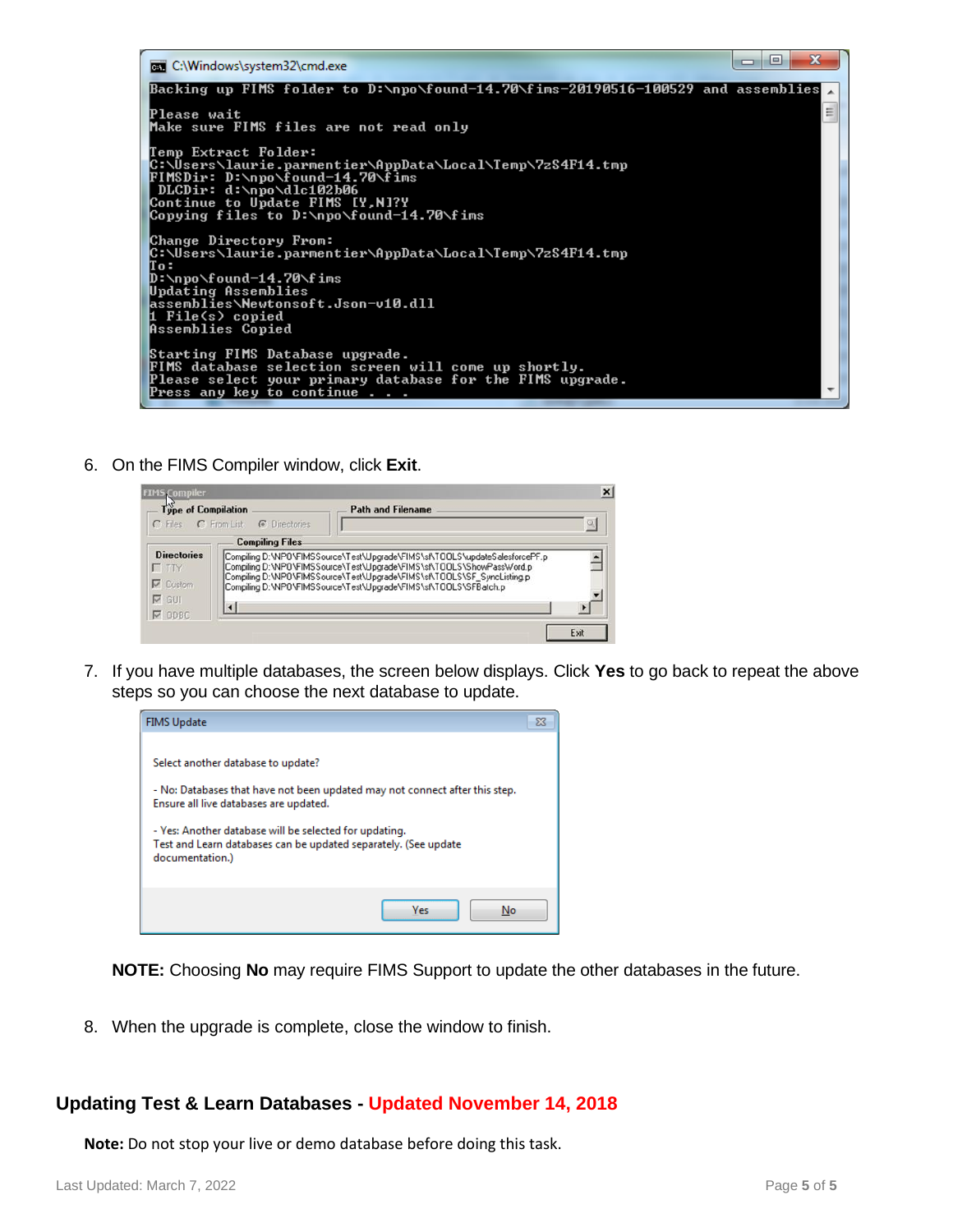

6. On the FIMS Compiler window, click **Exit**.

| <b>FIMS Compiler</b>                                                  |                                                                                                                                                                                                                                                                                                     |                          | $\times$ |
|-----------------------------------------------------------------------|-----------------------------------------------------------------------------------------------------------------------------------------------------------------------------------------------------------------------------------------------------------------------------------------------------|--------------------------|----------|
| Type of Compilation                                                   | C Files C From List C Directories                                                                                                                                                                                                                                                                   | <b>Path and Filename</b> |          |
|                                                                       | <b>Compiling Files</b>                                                                                                                                                                                                                                                                              |                          |          |
| <b>Directories</b><br>$\Gamma$ TTY<br>$\nabla$ Custom<br>$\nabla$ GUI | Compiling D:\NPO\FIMSSource\Test\Upgrade\FIMS\sf\T00LS\updateSalesforcePF.p<br>Compiling D:\NPO\FIMSSource\Test\Upgrade\FIMS\sf\TOOLS\ShowPassWord.p<br>Compiling D:\NPO\FIMSSource\Test\Upgrade\FIMS\sf\TOOLS\SF_SyncListing.p<br>Compiling D:\NPO\FIMSSource\Test\Upgrade\FIMS\sf\T00LS\SFBatch.p |                          |          |
| $\nabla$ ODBC                                                         |                                                                                                                                                                                                                                                                                                     |                          |          |
|                                                                       |                                                                                                                                                                                                                                                                                                     |                          | Exit     |

7. If you have multiple databases, the screen below displays. Click **Yes** to go back to repeat the above steps so you can choose the next database to update.



**NOTE:** Choosing **No** may require FIMS Support to update the other databases in the future.

8. When the upgrade is complete, close the window to finish.

## **Updating Test & Learn Databases - Updated November 14, 2018**

**Note:** Do not stop your live or demo database before doing this task.